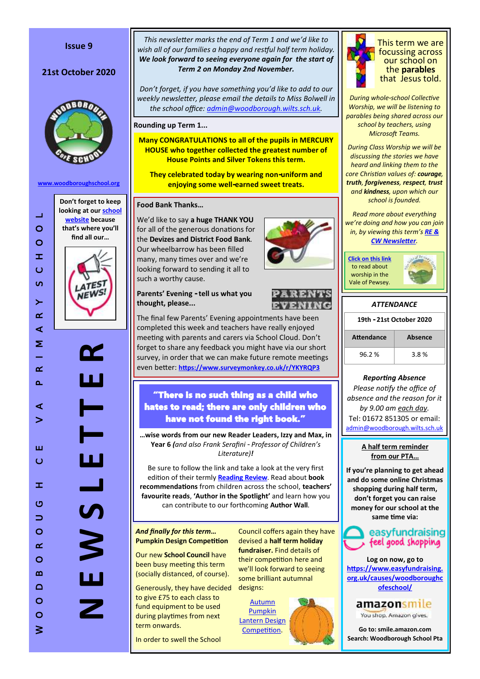#### **Issue 9**

# 21st October 2020



**[www.woodboroughschool.org](https://woodboroughschool.org/)**

 $\mathbb{Z}^2$  $\circ$  $\circ$ 



**N E W S L E T T E R**

 $\vdash$ 

**T** 

 $\frac{1}{2}$ 

*This newsletter marks the end of Term 1 and we'd like to wish all of our families a happy and restful half term holiday. We look forward to seeing everyone again for the start of Term 2 on Monday 2nd November.*

*Don't forget, if you have something you'd like to add to our weekly newsletter, please email the details to Miss Bolwell in the school office: [admin@woodborough.wilts.sch.uk.](mailto:admin@woodborough.wilts.sch.uk)* 

**Rounding up Term 1...**

**Many CONGRATULATIONS to all of the pupils in MERCURY HOUSE who together collected the greatest number of House Points and Silver Tokens this term.** 

**They celebrated today by wearing non-uniform and enjoying some well-earned sweet treats.**

## **Food Bank Thanks…**

We'd like to say **a huge THANK YOU**  for all of the generous donations for the **Devizes and District Food Bank**. Our wheelbarrow has been filled many, many times over and we're looking forward to sending it all to such a worthy cause.

# **Parents' Evening - tell us what you thought, please...**



completed this week and teachers have really enjoyed meeting with parents and carers via School Cloud. Don't forget to share any feedback you might have via our short survey, in order that we can make future remote meetings even better: **<https://www.surveymonkey.co.uk/r/YKYRQP3>**

# "There is no such thing as a child who hates to read; there are only children who have not found the right book."

**…wise words from our new Reader Leaders, Izzy and Max, in Year 6** *(and also Frank Serafini - Professor of Children's Literature)!*

Be sure to follow the link and take a look at the very first edition of their termly **[Reading Review](https://woodboroughschool.org/wp-content/uploads/2020/10/Y6-Reader-Leader-Autumn-Term-Reading-Review.pdf)**. Read about **book recommendations** from children across the school, **teachers' favourite reads**, **'Author in the Spotlight'** and learn how you can contribute to our forthcoming **Author Wall**.

#### *And finally for this term…*  **Pumpkin Design Competition**

Our new **School Council** have been busy meeting this term (socially distanced, of course).

Generously, they have decided to give £75 to each class to fund equipment to be used during playtimes from next term onwards.

In order to swell the School

Council coffers again they have devised a **half term holiday fundraiser.** Find details of their competition here and we'll look forward to seeing some brilliant autumnal designs:

[Autumn](https://woodboroughschool.org/wp-content/uploads/2020/10/School-Council-Autumn-Pumpkin-Design-Competition.pdf)  [Pumpkin](https://woodboroughschool.org/wp-content/uploads/2020/10/School-Council-Autumn-Pumpkin-Design-Competition.pdf)  [Lantern Design](https://woodboroughschool.org/wp-content/uploads/2020/10/School-Council-Autumn-Pumpkin-Design-Competition.pdf)  [Competition.](https://woodboroughschool.org/wp-content/uploads/2020/10/School-Council-Autumn-Pumpkin-Design-Competition.pdf)



This term we are focussing across our school on the **parables** that Jesus told.

*During whole-school Collective Worship, we will be listening to parables being shared across our school by teachers, using Microsoft Teams.* 

*During Class Worship we will be discussing the stories we have heard and linking them to the core Christian values of: courage, truth, forgiveness, respect, trust and kindness, upon which our school is founded.*

*Read more about everything we're doing and how you can join in, by viewing this term's [RE &](https://woodboroughschool.org/wp-content/uploads/2020/09/RE-NEWSLETTER-Autumn-1-2020-Parables.pdf)  [CW Newsletter](https://woodboroughschool.org/wp-content/uploads/2020/09/RE-NEWSLETTER-Autumn-1-2020-Parables.pdf).*



| <b>ATTENDANCE</b>        |         |  |  |  |
|--------------------------|---------|--|--|--|
| 19th - 21st October 2020 |         |  |  |  |
| <b>Attendance</b>        | Absence |  |  |  |
| 96.2%                    | 3.8%    |  |  |  |

## *Reporting Absence*

*Please notify the office of absence and the reason for it by 9.00 am each day.*  Tel: 01672 851305 or email: [admin@woodborough.wilts.sch.uk](mailto:admin@woodborough.wilts.sch.uk)

#### **A half term reminder from our PTA…**

**If you're planning to get ahead and do some online Christmas shopping during half term, don't forget you can raise money for our school at the same time via:**



**Log on now, go to [https://www.easyfundraising.](mailto:Log%20on%20now,%20go%20to%20https://www.easyfundraising.org.uk/causes/woodboroughcofeschool/) [org.uk/causes/woodboroughc](mailto:Log%20on%20now,%20go%20to%20https://www.easyfundraising.org.uk/causes/woodboroughcofeschool/) [ofeschool/](mailto:Log%20on%20now,%20go%20to%20https://www.easyfundraising.org.uk/causes/woodboroughcofeschool/)**

amazonsmile

You shop. Amazon gives.

**Go to: smile.amazon.com Search: Woodborough School Pta**